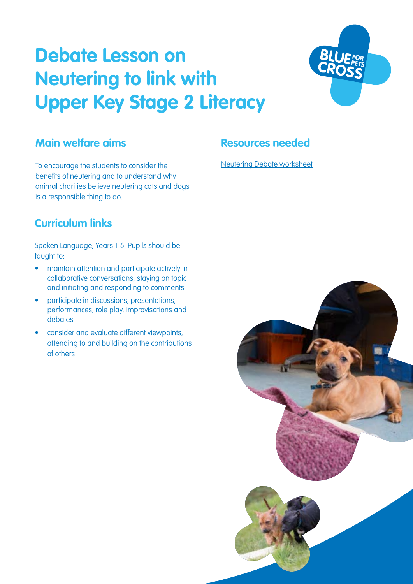# **Debate Lesson on Neutering to link with Upper Key Stage 2 Literacy**



### **Main welfare aims**

To encourage the students to consider the benefits of neutering and to understand why animal charities believe neutering cats and dogs is a responsible thing to do.

#### **Resources needed**

[Neutering Debate worksheet](#page-2-0)

## **Curriculum links**

Spoken Language, Years 1-6. Pupils should be taught to:

- maintain attention and participate actively in collaborative conversations, staying on topic and initiating and responding to comments
- participate in discussions, presentations, performances, role play, improvisations and debates
- consider and evaluate different viewpoints, attending to and building on the contributions of others

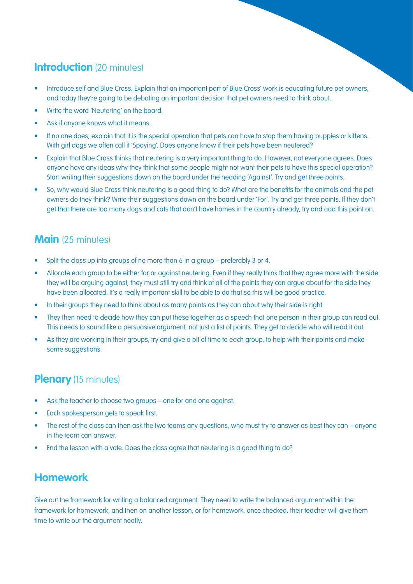## **Introduction** (20 minutes)

- Introduce self and Blue Cross. Explain that an important part of Blue Cross' work is educating future pet owners, and today they're going to be debating an important decision that pet owners need to think about.
- Write the word 'Neutering' on the board.
- Ask if anyone knows what it means.
- If no one does, explain that it is the special operation that pets can have to stop them having puppies or kittens. With girl dogs we often call it 'Spaying'. Does anyone know if their pets have been neutered?
- Explain that Blue Cross thinks that neutering is a very important thing to do. However, not everyone agrees. Does anyone have any ideas why they think that some people might not want their pets to have this special operation? Start writing their suggestions down on the board under the heading 'Against'. Try and get three points.
- So, why would Blue Cross think neutering is a good thing to do? What are the benefits for the animals and the pet owners do they think? Write their suggestions down on the board under 'For'. Try and get three points. If they don't get that there are too many dogs and cats that don't have homes in the country already, try and add this point on.

#### **Main** (25 minutes)

- Split the class up into groups of no more than 6 in a group preferably 3 or 4.
- Allocate each group to be either for or against neutering. Even if they really think that they agree more with the side they will be arguing against, they must still try and think of all of the points they can argue about for the side they have been allocated. It's a really important skill to be able to do that so this will be good practice.
- In their groups they need to think about as many points as they can about why their side is right.
- They then need to decide how they can put these together as a speech that one person in their group can read out. This needs to sound like a persuasive argument, not just a list of points. They get to decide who will read it out.
- As they are working in their groups, try and give a bit of time to each group, to help with their points and make some suggestions.

## **Plenary** (15 minutes)

- Ask the teacher to choose two groups one for and one against.
- Each spokesperson gets to speak first.
- The rest of the class can then ask the two teams any questions, who must try to answer as best they can anyone in the team can answer.
- End the lesson with a vote. Does the class agree that neutering is a good thing to do?

#### **Homework**

Give out the framework for writing a balanced argument. They need to write the balanced argument within the framework for homework, and then on another lesson, or for homework, once checked, their teacher will give them time to write out the argument neatly.